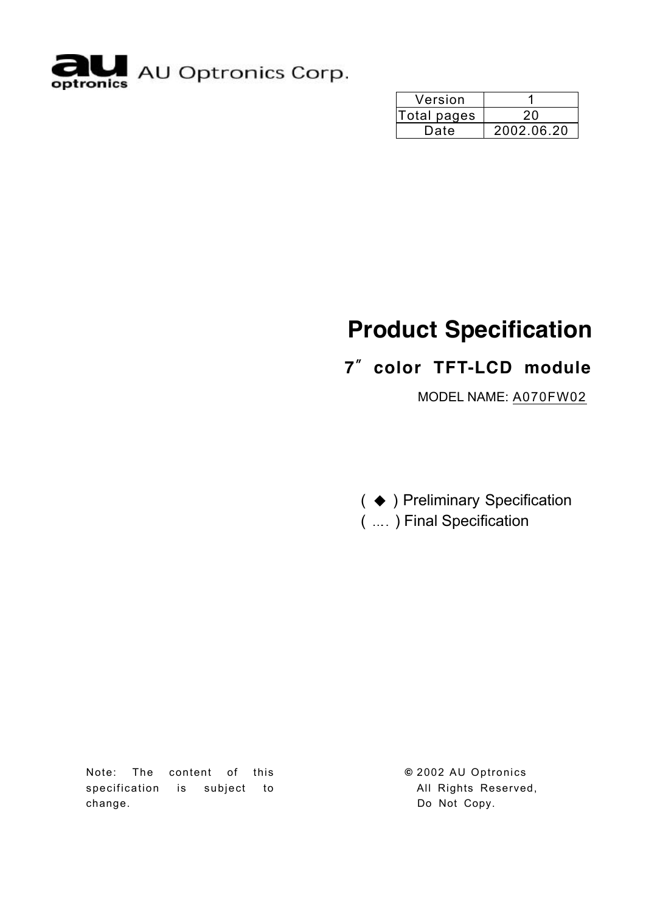

| Version     |            |
|-------------|------------|
| Total pages | 20         |
| Date        | 2002.06.20 |

# **Product Specification**

## **7**〞**color TFT-LCD module**

MODEL NAME: A070FW02

( ◆ ) Preliminary Specification

( .... ) Final Specification

Note: The content of this specification is subject to change.

**©** 2002 AU Optronics All Rights Reserved, Do Not Copy.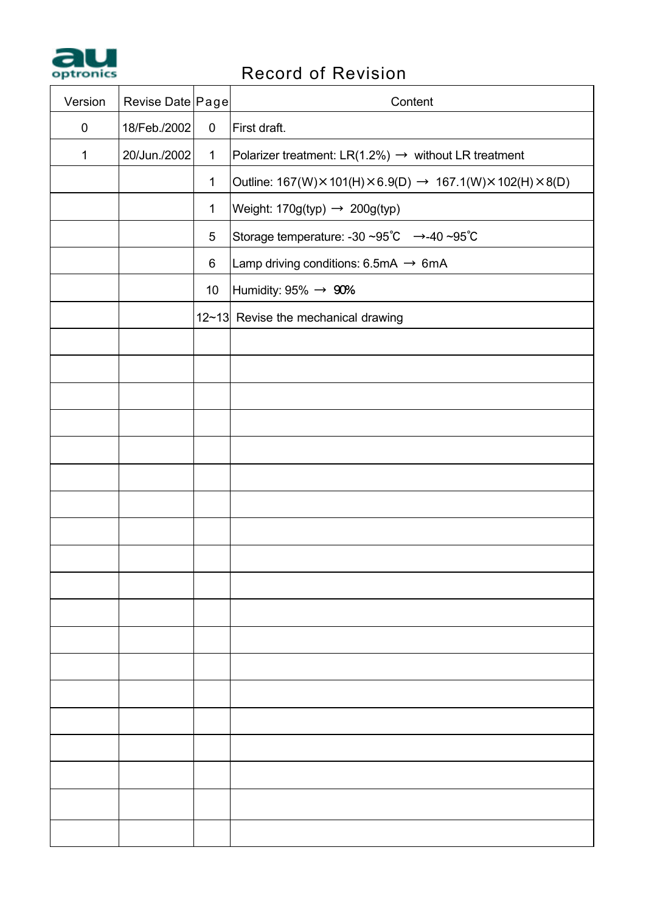

# **Property and Record of Revision**

| Version   | Revise Date Page |              | Content                                                          |
|-----------|------------------|--------------|------------------------------------------------------------------|
| $\pmb{0}$ | 18/Feb./2002     | $\pmb{0}$    | First draft.                                                     |
| 1         | 20/Jun./2002     | $\mathbf{1}$ | Polarizer treatment: LR(1.2%) $\rightarrow$ without LR treatment |
|           |                  | $\mathbf{1}$ | Outline: 167(W)×101(H)×6.9(D) → 167.1(W)×102(H)×8(D)             |
|           |                  | $\mathbf{1}$ | Weight: $170g(typ) \rightarrow 200g(typ)$                        |
|           |                  | $\,$ 5 $\,$  | Storage temperature: -30 ~95℃ →-40 ~95℃                          |
|           |                  | $\,6\,$      | Lamp driving conditions: $6.5mA \rightarrow 6mA$                 |
|           |                  | 10           | Humidity: $95\% \rightarrow 90\%$                                |
|           |                  |              | 12~13 Revise the mechanical drawing                              |
|           |                  |              |                                                                  |
|           |                  |              |                                                                  |
|           |                  |              |                                                                  |
|           |                  |              |                                                                  |
|           |                  |              |                                                                  |
|           |                  |              |                                                                  |
|           |                  |              |                                                                  |
|           |                  |              |                                                                  |
|           |                  |              |                                                                  |
|           |                  |              |                                                                  |
|           |                  |              |                                                                  |
|           |                  |              |                                                                  |
|           |                  |              |                                                                  |
|           |                  |              |                                                                  |
|           |                  |              |                                                                  |
|           |                  |              |                                                                  |
|           |                  |              |                                                                  |
|           |                  |              |                                                                  |
|           |                  |              |                                                                  |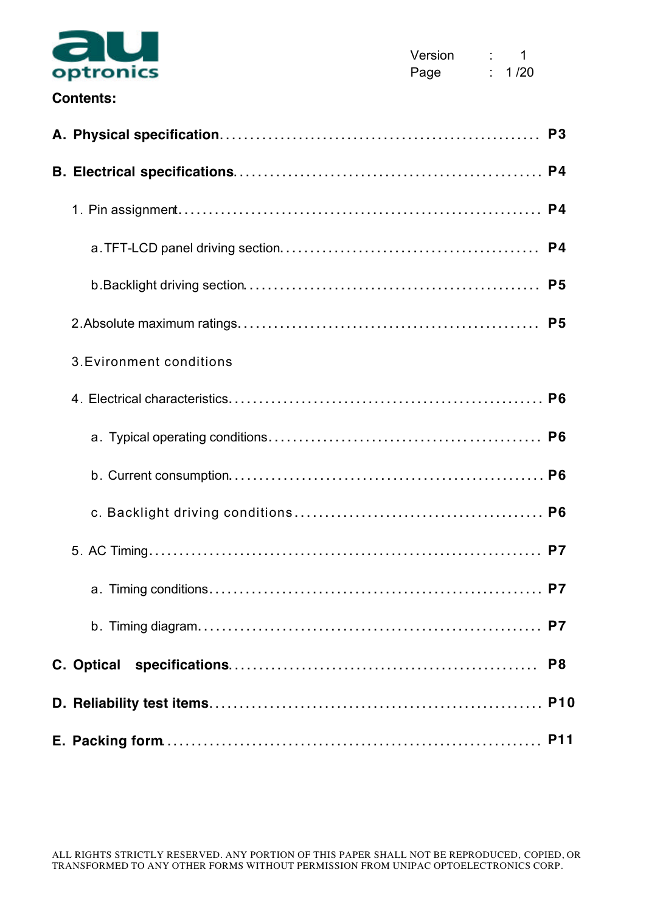

### **Contents:**

| 3. Evironment conditions |                |
|--------------------------|----------------|
|                          |                |
|                          |                |
|                          |                |
|                          |                |
|                          |                |
|                          |                |
|                          |                |
|                          | P <sub>8</sub> |
|                          |                |
|                          |                |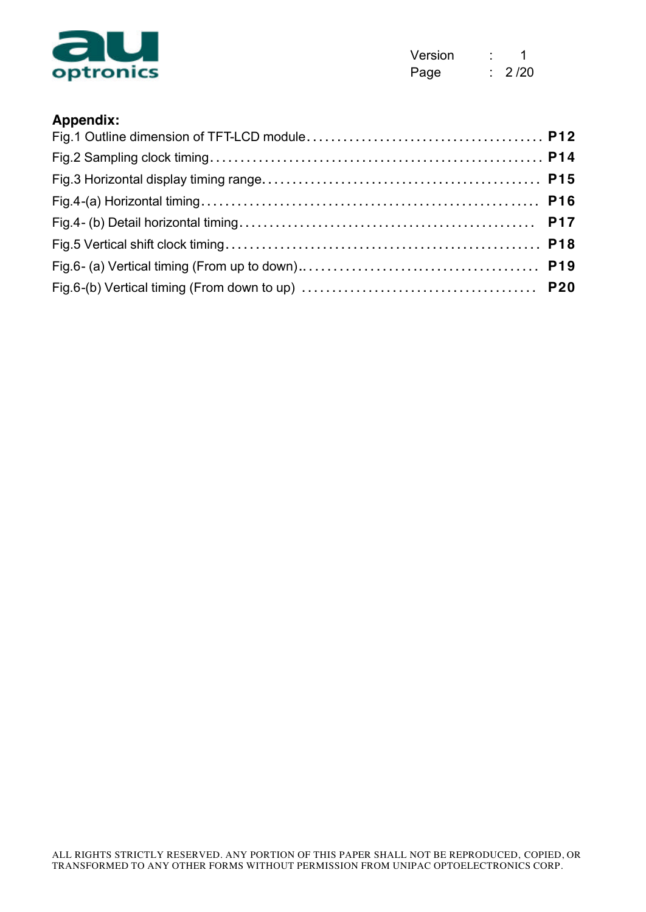

| Version | 1    |
|---------|------|
| Page    | 2/20 |

#### **Appendix:**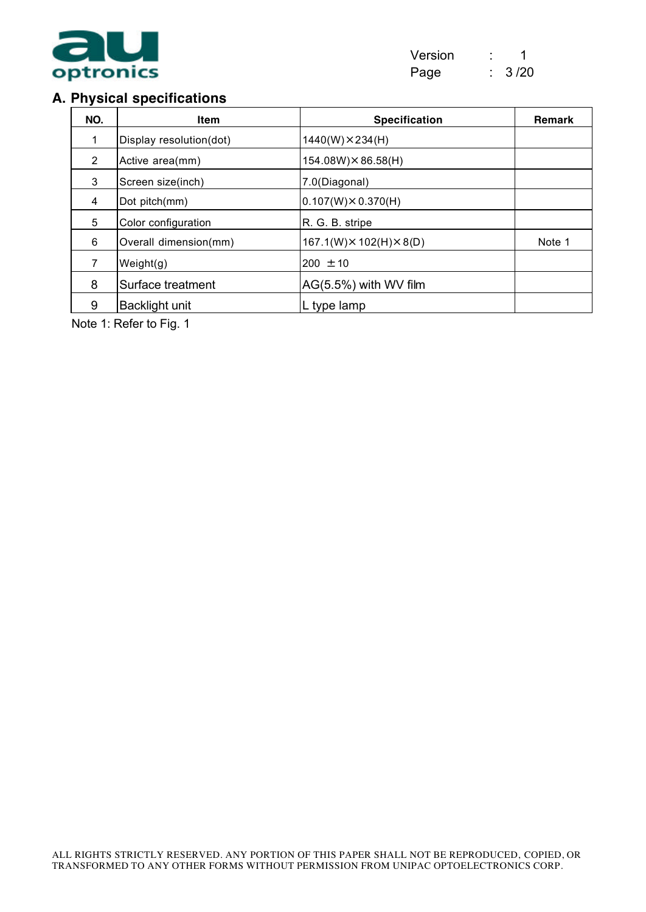

#### **A. Physical specifications**

| NO.                    | <b>Item</b>             | <b>Specification</b>                 | <b>Remark</b> |
|------------------------|-------------------------|--------------------------------------|---------------|
|                        | Display resolution(dot) | $1440(W) \times 234(H)$              |               |
| 2                      | Active area(mm)         | 154.08W) × 86.58(H)                  |               |
| 3<br>Screen size(inch) |                         | 7.0(Diagonal)                        |               |
| $\overline{4}$         | Dot pitch(mm)           | $0.107(W) \times 0.370(H)$           |               |
| 5                      | Color configuration     | R. G. B. stripe                      |               |
| 6                      | Overall dimension(mm)   | $167.1(W) \times 102(H) \times 8(D)$ | Note 1        |
| 7                      | Weight(g)               | $200 \pm 10$                         |               |
| 8                      | Surface treatment       | AG(5.5%) with WV film                |               |
| 9                      | <b>Backlight unit</b>   | L type lamp                          |               |

Note 1: Refer to Fig. 1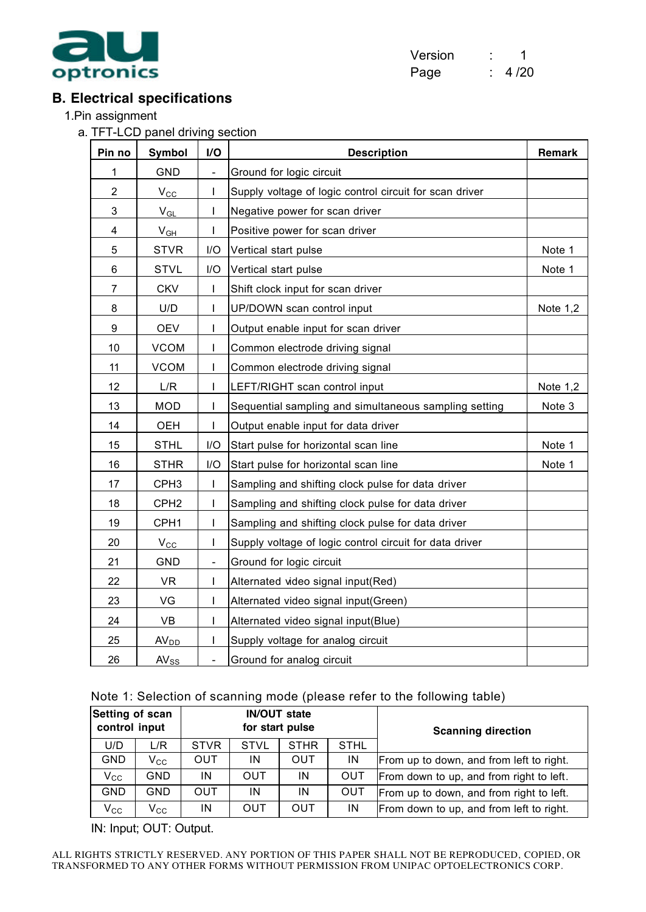

| Version | 1    |
|---------|------|
| Page    | 4/20 |

### **B. Electrical specifications**

1.Pin assignment

a. TFT-LCD panel driving section

| Pin no           | I/O<br><b>Symbol</b><br><b>Description</b> |                          | <b>Remark</b>                                           |            |
|------------------|--------------------------------------------|--------------------------|---------------------------------------------------------|------------|
| 1                | <b>GND</b>                                 | $\frac{1}{2}$            | Ground for logic circuit                                |            |
| $\mathbf 2$      | $V_{\rm CC}$                               | I                        | Supply voltage of logic control circuit for scan driver |            |
| 3                | $V_{GL}$                                   | T                        | Negative power for scan driver                          |            |
| 4                | $V_{GH}$                                   | T                        | Positive power for scan driver                          |            |
| 5                | <b>STVR</b>                                | I/O                      | Vertical start pulse                                    | Note 1     |
| 6                | <b>STVL</b>                                | I/O                      | Vertical start pulse                                    | Note 1     |
| $\overline{7}$   | <b>CKV</b>                                 | I                        | Shift clock input for scan driver                       |            |
| 8                | U/D                                        | $\mathbf{I}$             | UP/DOWN scan control input                              | Note 1,2   |
| $\boldsymbol{9}$ | <b>OEV</b>                                 | T                        | Output enable input for scan driver                     |            |
| 10               | <b>VCOM</b>                                | ı                        | Common electrode driving signal                         |            |
| 11               | <b>VCOM</b>                                | T                        | Common electrode driving signal                         |            |
| 12               | L/R                                        | T                        | LEFT/RIGHT scan control input                           | Note $1,2$ |
| 13               | <b>MOD</b>                                 | T                        | Sequential sampling and simultaneous sampling setting   | Note 3     |
| 14               | <b>OEH</b>                                 | T                        | Output enable input for data driver                     |            |
| 15               | <b>STHL</b>                                | I/O                      | Start pulse for horizontal scan line                    | Note 1     |
| 16               | <b>STHR</b>                                | I/O                      | Start pulse for horizontal scan line                    | Note 1     |
| 17               | CPH <sub>3</sub>                           | T                        | Sampling and shifting clock pulse for data driver       |            |
| 18               | CPH <sub>2</sub>                           | I                        | Sampling and shifting clock pulse for data driver       |            |
| 19               | CPH1                                       | T                        | Sampling and shifting clock pulse for data driver       |            |
| 20               | $V_{\rm CC}$                               | I                        | Supply voltage of logic control circuit for data driver |            |
| 21               | GND                                        | $\blacksquare$           | Ground for logic circuit                                |            |
| 22               | <b>VR</b>                                  | T                        | Alternated video signal input(Red)                      |            |
| 23               | VG                                         | T                        | Alternated video signal input(Green)                    |            |
| 24               | VB                                         | L                        | Alternated video signal input(Blue)                     |            |
| 25               | AV <sub>DD</sub>                           | $\mathsf I$              | Supply voltage for analog circuit                       |            |
| 26               | $AV_{SS}$                                  | $\overline{\phantom{0}}$ | Ground for analog circuit                               |            |

|  |  | Note 1: Selection of scanning mode (please refer to the following table) |  |
|--|--|--------------------------------------------------------------------------|--|
|--|--|--------------------------------------------------------------------------|--|

| Setting of scan<br>control input<br>U/D<br>L/R |                                       |             | <b>IN/OUT state</b>                      | for start pulse |             | <b>Scanning direction</b>                |  |
|------------------------------------------------|---------------------------------------|-------------|------------------------------------------|-----------------|-------------|------------------------------------------|--|
|                                                |                                       | <b>STVR</b> | <b>STVL</b>                              | <b>STHR</b>     | <b>STHL</b> |                                          |  |
| <b>GND</b>                                     | $\mathsf{V_{CC}}$                     | <b>OUT</b>  | IN                                       | OUT             | IN          | From up to down, and from left to right. |  |
| $V_{\rm CC}$                                   | GND.<br>IN<br>OUT<br><b>OUT</b><br>ΙN |             | From down to up, and from right to left. |                 |             |                                          |  |
| <b>GND</b>                                     | <b>GND</b>                            | <b>OUT</b>  | IN                                       | ΙN              | <b>OUT</b>  | From up to down, and from right to left. |  |
| $V_{\rm CC}$                                   | $V_{\rm CC}$                          | ΙN          | OUT                                      | OUT             | IN          | From down to up, and from left to right. |  |

IN: Input; OUT: Output.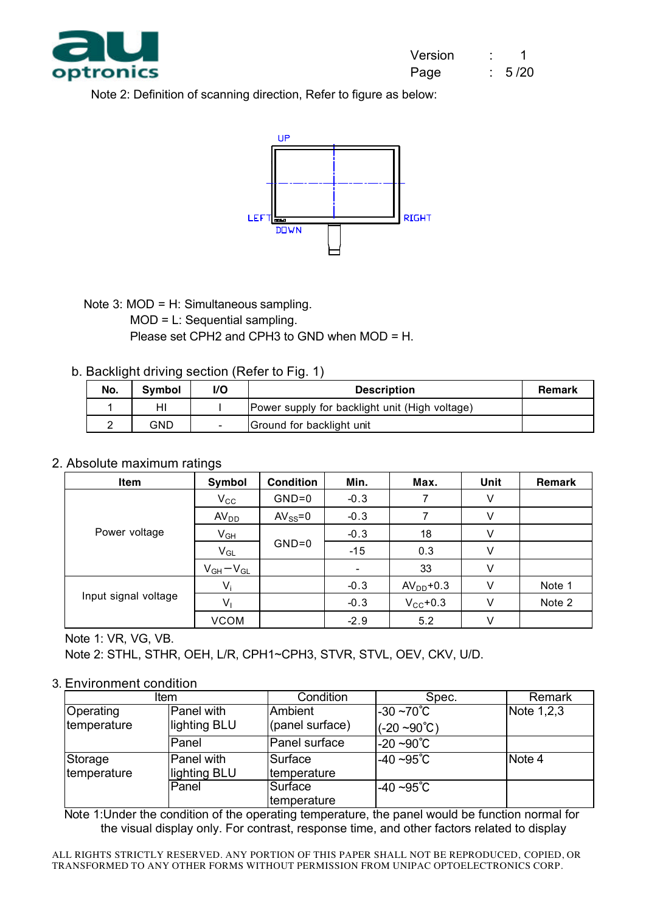

Note 2: Definition of scanning direction, Refer to figure as below:



Note 3: MOD = H: Simultaneous sampling.

#### MOD = L: Sequential sampling.

Please set CPH2 and CPH3 to GND when MOD = H.

#### b. Backlight driving section (Refer to Fig. 1)

| No. | <b>Symbol</b> | ı/O                      | <b>Description</b>                             | <b>Remark</b> |
|-----|---------------|--------------------------|------------------------------------------------|---------------|
|     | HI            |                          | Power supply for backlight unit (High voltage) |               |
|     | GND           | $\overline{\phantom{0}}$ | Ground for backlight unit                      |               |

#### 2. Absolute maximum ratings

| Item                 | Symbol           | <b>Condition</b> | Min.   | Max.          | Unit | Remark |
|----------------------|------------------|------------------|--------|---------------|------|--------|
|                      | $V_{\rm CC}$     | $GND=0$          | $-0.3$ |               | V    |        |
|                      | AV <sub>DD</sub> | $AV_{SS} = 0$    | $-0.3$ |               | V    |        |
| Power voltage        | $V_{GH}$         | $GND=0$          | $-0.3$ | 18            | V    |        |
|                      | $V_{GL}$         |                  | $-15$  | 0.3           | V    |        |
|                      | $V_{GH}-V_{GL}$  |                  |        | 33            | V    |        |
|                      | V,               |                  | $-0.3$ | $AVDD+0.3$    | v    | Note 1 |
| Input signal voltage | $V_1$            |                  | $-0.3$ | $V_{CC}$ +0.3 | V    | Note 2 |
|                      | <b>VCOM</b>      |                  | $-2.9$ | 5.2           | V    |        |

Note 1: VR, VG, VB.

Note 2: STHL, STHR, OEH, L/R, CPH1~CPH3, STVR, STVL, OEV, CKV, U/D.

#### 3. Environment condition

| <b>Item</b>              |                            | Condition                  | Spec.                                         | Remark     |
|--------------------------|----------------------------|----------------------------|-----------------------------------------------|------------|
| Operating<br>temperature | Panel with<br>lighting BLU | Ambient<br>(panel surface) | $-30 - 70^{\circ}$ C<br>$(-20 - 90^{\circ}C)$ | Note 1,2,3 |
|                          | Panel                      | Panel surface              | $-20 - 90^{\circ}C$                           |            |
| Storage<br>temperature   | Panel with<br>lighting BLU | Surface<br>temperature     | $-40 - 95^{\circ}C$                           | Note 4     |
|                          | Panel                      | Surface<br>temperature     | $-40 - 95^{\circ}C$                           |            |

Note 1:Under the condition of the operating temperature, the panel would be function normal for the visual display only. For contrast, response time, and other factors related to display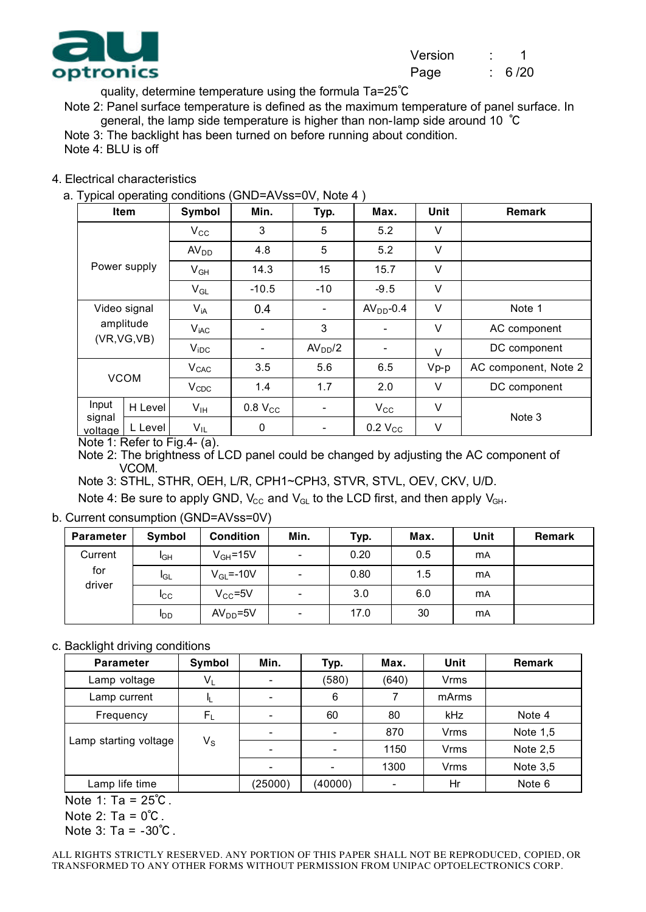

quality, determine temperature using the formula Ta=25℃

Note 2: Panel surface temperature is defined as the maximum temperature of panel surface. In general, the lamp side temperature is higher than non-lamp side around 10 ℃

Note 3: The backlight has been turned on before running about condition.

Note 4: BLU is off

#### 4. Electrical characteristics

a. Typical operating conditions (GND=AVss=0V, Note 4 )

| <b>JI</b><br>Item                         | ັ              | Symbol                    | Min.                | Typ.                | Max.                | Unit   | <b>Remark</b>        |
|-------------------------------------------|----------------|---------------------------|---------------------|---------------------|---------------------|--------|----------------------|
| Power supply                              |                | $V_{\rm CC}$              | 3                   | 5                   | 5.2                 | V      |                      |
|                                           |                | AV <sub>DD</sub>          | 4.8                 | 5                   | 5.2                 | V      |                      |
|                                           |                | $V_{GH}$                  | 14.3                | 15                  | 15.7                | ٧      |                      |
|                                           |                | $V_{GL}$                  | $-10.5$             | $-10$               | $-9.5$              | V      |                      |
| Video signal<br>amplitude<br>(VR, VG, VB) |                | $V_{iA}$                  | 0.4                 |                     | $AVDD-0.4$          | V      | Note 1               |
|                                           |                | V <sub>iAC</sub>          |                     | 3                   |                     | V      | AC component         |
|                                           |                | $V_{IDC}$                 |                     | AV <sub>DD</sub> /2 |                     | V      | DC component         |
| <b>VCOM</b>                               |                | V <sub>CAC</sub>          | 3.5                 | 5.6                 | 6.5                 | $Vp-p$ | AC component, Note 2 |
|                                           |                | $V_{CDC}$                 | 1.4                 | 1.7                 | 2.0                 | V      | DC component         |
| Input<br>signal<br>voltage                | H Level        | V <sub>IH</sub>           | 0.8 V <sub>CC</sub> |                     | $V_{\rm CC}$        | ٧      | Note 3               |
|                                           | L Level<br>--- | $V_{IL}$<br>$\sim$ $\sim$ | 0                   |                     | 0.2 V <sub>CC</sub> | ٧      |                      |

Note 1: Refer to Fig.4- (a).

Note 2: The brightness of LCD panel could be changed by adjusting the AC component of VCOM.

Note 3: STHL, STHR, OEH, L/R, CPH1~CPH3, STVR, STVL, OEV, CKV, U/D.

Note 4: Be sure to apply GND,  $V_{CC}$  and  $V_{GL}$  to the LCD first, and then apply  $V_{GH}$ .

b. Current consumption (GND=AVss=0V)

| <b>Parameter</b> | Symbol          | <b>Condition</b> | Min.                     | Typ. | Max. | Unit       | <b>Remark</b> |
|------------------|-----------------|------------------|--------------------------|------|------|------------|---------------|
| Current          | I <sub>GH</sub> | $V_{GH} = 15V$   | $\overline{\phantom{0}}$ | 0.20 | 0.5  | <b>mA</b>  |               |
| for<br>driver    | <b>I</b> GL     | $V_{GL} = -10V$  | $\overline{\phantom{0}}$ | 0.80 | 1.5  | <b>mA</b>  |               |
|                  | $_{\rm{lcc}}$   | $V_{CC} = 5V$    | $\overline{\phantom{0}}$ | 3.0  | 6.0  | <b>mA</b>  |               |
|                  | <b>I</b> DD     | $AVDD=5V$        | $\overline{\phantom{0}}$ | 17.0 | 30   | <b>m</b> A |               |

c. Backlight driving conditions

| <b>Parameter</b>      | Symbol      | Min.    | Typ.    | Max.  | Unit  | <b>Remark</b> |
|-----------------------|-------------|---------|---------|-------|-------|---------------|
| Lamp voltage          | $V_L$       |         | (580)   | (640) | Vrms  |               |
| Lamp current          |             |         | 6       |       | mArms |               |
| Frequency             | $F_{\rm L}$ |         | 60      | 80    | kHz   | Note 4        |
|                       | $V_{\rm S}$ |         |         | 870   | Vrms  | Note $1,5$    |
| Lamp starting voltage |             |         |         | 1150  | Vrms  | Note $2,5$    |
|                       |             |         |         | 1300  | Vrms  | Note $3,5$    |
| Lamp life time        |             | (25000) | (40000) |       | Hr    | Note 6        |

Note 1: Ta = 25℃.

Note  $2: Ta = 0^{\circ}C$ .

Note 3: Ta = -30℃.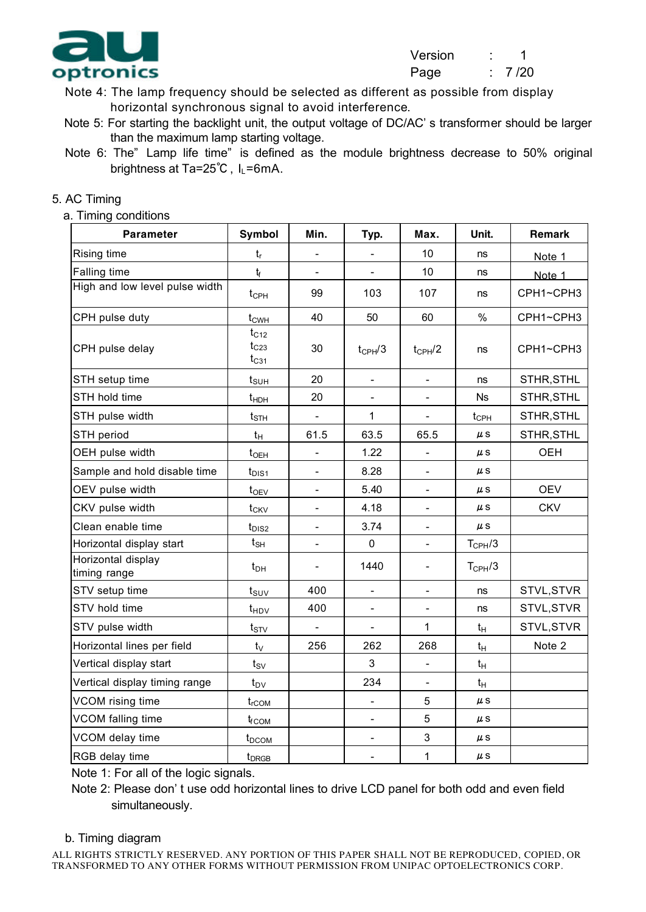

- Note 4: The lamp frequency should be selected as different as possible from display horizontal synchronous signal to avoid interference.
- Note 5: For starting the backlight unit, the output voltage of DC/AC' s transformer should be larger than the maximum lamp starting voltage.
- Note 6: The" Lamp life time" is defined as the module brightness decrease to 50% original brightness at Ta=25℃, I<sub>L</sub>=6mA.

#### 5. AC Timing

a. Timing conditions

| <b>Parameter</b>                   | <b>Symbol</b>                       | Min.                     | Typ.                         | Max.                     | Unit.              | Remark     |
|------------------------------------|-------------------------------------|--------------------------|------------------------------|--------------------------|--------------------|------------|
| Rising time                        | $t_{r}$                             |                          |                              | 10                       | ns                 | Note 1     |
| Falling time                       | $t_f$                               |                          |                              | 10                       | ns                 | Note 1     |
| High and low level pulse width     | $t_{\text{CPH}}$                    | 99                       | 103                          | 107                      | ns                 | CPH1~CPH3  |
| CPH pulse duty                     | $t_{CWH}$                           | 40                       | 50                           | 60                       | $\%$               | CPH1~CPH3  |
| CPH pulse delay                    | $t_{C12}$<br>$t_{C23}$<br>$t_{C31}$ | 30                       | $t_{\text{CPH}}/3$           | $t_{\text{CPH}}/2$       | ns                 | CPH1~CPH3  |
| STH setup time                     | $t_{\text{SUH}}$                    | 20                       |                              |                          | ns                 | STHR, STHL |
| STH hold time                      | $t_{HDH}$                           | 20                       | $\qquad \qquad \blacksquare$ |                          | <b>Ns</b>          | STHR, STHL |
| STH pulse width                    | $t_{\footnotesize\rm STH}$          |                          | $\mathbf{1}$                 |                          | $t_{\text{CPH}}$   | STHR, STHL |
| STH period                         | $t_{H}$                             | 61.5                     | 63.5                         | 65.5                     | $\mu$ S            | STHR, STHL |
| OEH pulse width                    | $t_{OEH}$                           |                          | 1.22                         |                          | $\mu$ S            | <b>OEH</b> |
| Sample and hold disable time       | $t_{DIS1}$                          | $\overline{\phantom{0}}$ | 8.28                         | $\blacksquare$           | $\mu$ S            |            |
| OEV pulse width                    | $t_{OEV}$                           | $\blacksquare$           | 5.40                         | $\blacksquare$           | $\mu$ S            | <b>OEV</b> |
| CKV pulse width                    | $t_{CKV}$                           | $\blacksquare$           | 4.18                         | $\blacksquare$           | $\mu$ S            | <b>CKV</b> |
| Clean enable time                  | $t_{DIS2}$                          |                          | 3.74                         |                          | $\mu$ S            |            |
| Horizontal display start           | $t_{\text{SH}}$                     | $\overline{\phantom{0}}$ | $\mathbf 0$                  | $\blacksquare$           | $T_{\text{CPH}}/3$ |            |
| Horizontal display<br>timing range | $t_{\sf DH}$                        | $\overline{\phantom{a}}$ | 1440                         | $\overline{\phantom{a}}$ | $T_{\text{CPH}}/3$ |            |
| STV setup time                     | $t_{\text{SUV}}$                    | 400                      | $\blacksquare$               | $\overline{\phantom{a}}$ | ns                 | STVL, STVR |
| STV hold time                      | $t_{HDV}$                           | 400                      | $\qquad \qquad \blacksquare$ |                          | ns                 | STVL, STVR |
| STV pulse width                    | $t_{STV}$                           |                          | L,                           | 1                        | $t_H$              | STVL, STVR |
| Horizontal lines per field         | $t_{\rm V}$                         | 256                      | 262                          | 268                      | $t_H$              | Note 2     |
| Vertical display start             | $t_{SV}$                            |                          | 3                            |                          | $t_H$              |            |
| Vertical display timing range      | $t_{\text{DV}}$                     |                          | 234                          | $\blacksquare$           | $t_H$              |            |
| VCOM rising time                   | $t_{rCOM}$                          |                          | $\blacksquare$               | 5                        | $\mu$ S            |            |
| VCOM falling time                  | $t_{fCOM}$                          |                          | $\overline{a}$               | 5                        | $\mu$ S            |            |
| VCOM delay time                    | t <sub>DCOM</sub>                   |                          | $\overline{\phantom{a}}$     | 3                        | $\mu$ S            |            |
| RGB delay time                     | t <sub>DRGB</sub>                   |                          | $\overline{\phantom{0}}$     | $\mathbf{1}$             | $\mu$ S            |            |

Note 1: For all of the logic signals.

Note 2: Please don' t use odd horizontal lines to drive LCD panel for both odd and even field simultaneously.

#### b. Timing diagram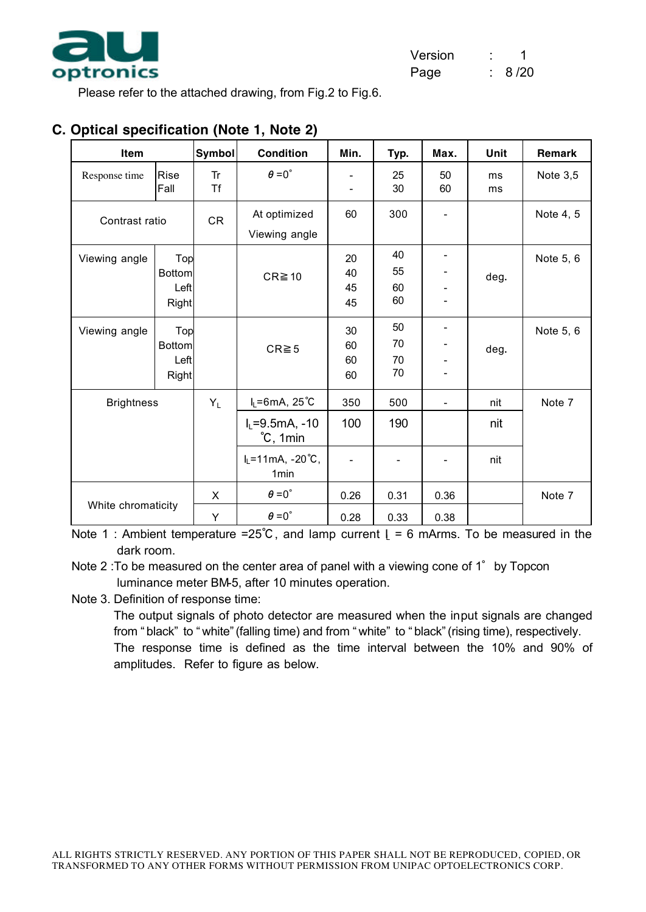

Please refer to the attached drawing, from Fig.2 to Fig.6.

| Item               |                                              | <b>Symbol</b>          | <b>Condition</b>                                                | Min.                                                 | Typ.                 | Max.                     | Unit     | Remark     |
|--------------------|----------------------------------------------|------------------------|-----------------------------------------------------------------|------------------------------------------------------|----------------------|--------------------------|----------|------------|
| Response time      | Rise<br>Fall                                 | <b>Tr</b><br><b>Tf</b> | $\theta = 0^{\circ}$                                            | $\overline{\phantom{a}}$<br>$\overline{\phantom{a}}$ | 25<br>30             | 50<br>60                 | ms<br>ms | Note $3,5$ |
| Contrast ratio     |                                              | CR                     | At optimized<br>Viewing angle                                   | 60                                                   | 300                  |                          |          | Note 4, 5  |
| Viewing angle      | Top<br><b>Bottom</b><br>Left<br><b>Right</b> |                        | $CR \ge 10$                                                     | 20<br>40<br>45<br>45                                 | 40<br>55<br>60<br>60 |                          | deg.     | Note 5, 6  |
| Viewing angle      | Top<br><b>Bottom</b><br>Left<br><b>Right</b> |                        | $CR \ge 5$                                                      | 30<br>60<br>60<br>60                                 | 50<br>70<br>70<br>70 |                          | deg.     | Note 5, 6  |
| <b>Brightness</b>  |                                              | $Y_L$                  | $I_L = 6mA$ , 25°C                                              | 350                                                  | 500                  | $\overline{\phantom{a}}$ | nit      | Note 7     |
|                    |                                              |                        | $I_L = 9.5mA, -10$<br>°C, 1min                                  | 100                                                  | 190                  |                          | nit      |            |
|                    |                                              |                        | $I_L = 11 \text{mA}, -20 \degree \text{C},$<br>1 <sub>min</sub> | $\overline{\phantom{a}}$                             |                      |                          | nit      |            |
|                    |                                              | X                      | $\theta = 0^{\circ}$                                            | 0.26                                                 | 0.31                 | 0.36                     |          | Note 7     |
| White chromaticity |                                              | Y                      | $\theta = 0^{\circ}$                                            | 0.28                                                 | 0.33                 | 0.38                     |          |            |

#### **C. Optical specification (Note 1, Note 2)**

Note 1 : Ambient temperature =25°C, and lamp current  $L = 6$  mArms. To be measured in the dark room.

Note 2 :To be measured on the center area of panel with a viewing cone of 1° by Topcon luminance meter BM-5, after 10 minutes operation.

Note 3. Definition of response time:

The output signals of photo detector are measured when the input signals are changed from " black" to " white" (falling time) and from " white" to " black" (rising time), respectively. The response time is defined as the time interval between the 10% and 90% of amplitudes. Refer to figure as below.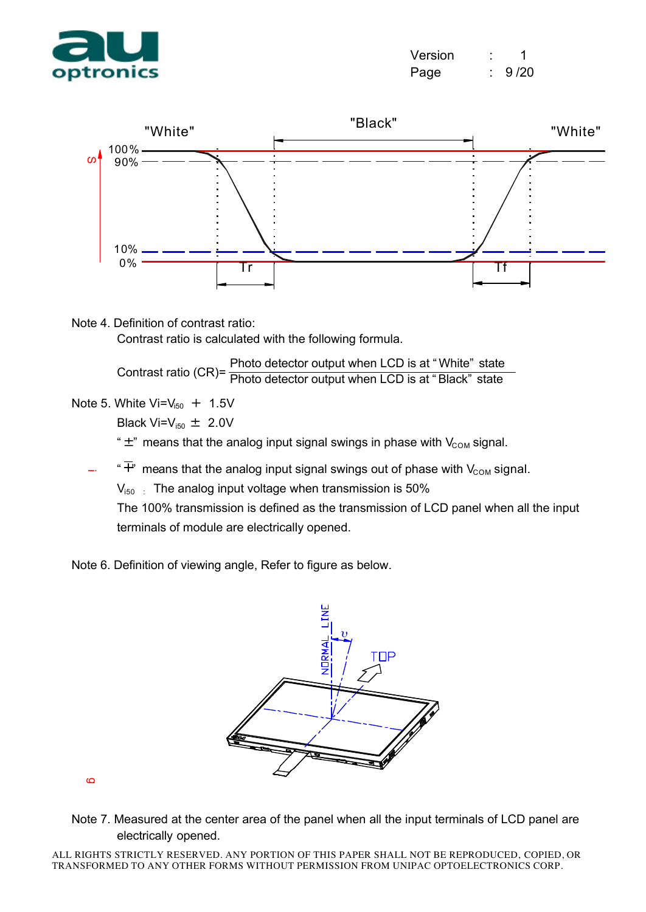

| Version |      |
|---------|------|
| Page    | 9/20 |



Note 4. Definition of contrast ratio:

Contrast ratio is calculated with the following formula.

Contrast ratio (CR)= Photo detector output when LCD is at " White" state Photo detector output when LCD is at " Black" state

Note 5. White  $Vi = V_{150} + 1.5V$ 

Black Vi= $V_{i50} \pm 2.0V$ 

" $\pm$ " means that the analog input signal swings in phase with  $V_{COM}$  signal.

" $\overline{+}$ " means that the analog input signal swings out of phase with V<sub>COM</sub> signal.

 $V_{150}$  : The analog input voltage when transmission is 50%

The 100% transmission is defined as the transmission of LCD panel when all the input terminals of module are electrically opened.

Note 6. Definition of viewing angle, Refer to figure as below.

![](_page_10_Picture_13.jpeg)

 $\sigma$ 

Note 7. Measured at the center area of the panel when all the input terminals of LCD panel are electrically opened.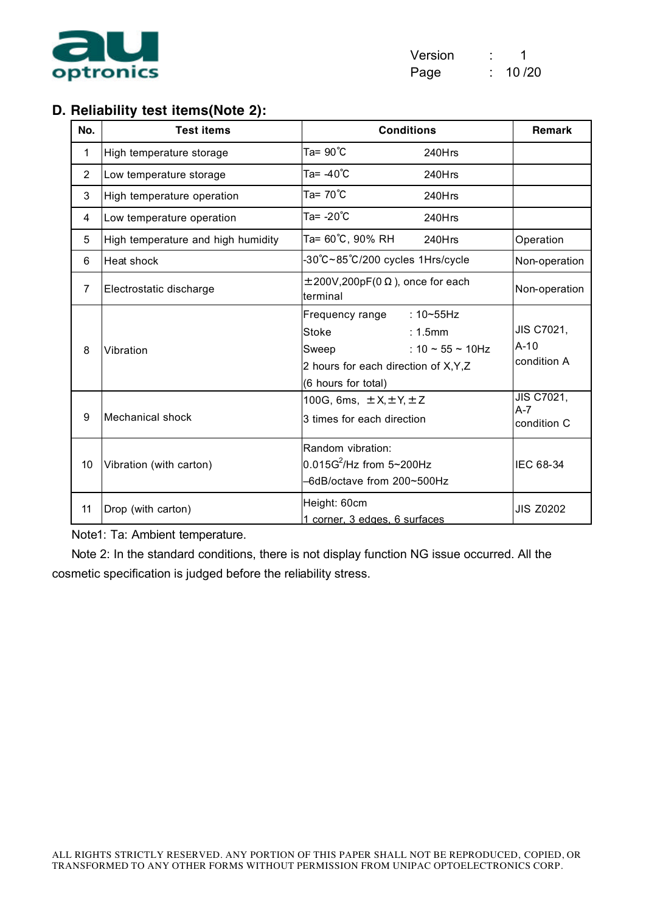![](_page_11_Picture_0.jpeg)

| Version |       |
|---------|-------|
| Page    | 10/20 |

#### **D. Reliability test items(Note 2):**

| No.            | <b>Test items</b>                  | <b>Conditions</b>                                                                                                                                                | <b>Remark</b>                       |
|----------------|------------------------------------|------------------------------------------------------------------------------------------------------------------------------------------------------------------|-------------------------------------|
| 1              | High temperature storage           | Ta= 90℃<br>240Hrs                                                                                                                                                |                                     |
| $\overline{2}$ | Low temperature storage            | Ta= -40°C<br>240Hrs                                                                                                                                              |                                     |
| 3              | High temperature operation         | Ta= 70℃<br>240Hrs                                                                                                                                                |                                     |
| 4              | Low temperature operation          | Ta= -20°C<br>240Hrs                                                                                                                                              |                                     |
| 5              | High temperature and high humidity | Ta= 60℃, 90% RH<br>240Hrs                                                                                                                                        | Operation                           |
| 6              | Heat shock                         | -30°C~85°C/200 cycles 1Hrs/cycle                                                                                                                                 | Non-operation                       |
| $\overline{7}$ | Electrostatic discharge            | $\pm 200V, 200pF(0 \Omega)$ , once for each<br>terminal                                                                                                          | Non-operation                       |
| 8              | Vibration                          | Frequency range<br>$:10 \times 55$ Hz<br>Stoke<br>: 1.5mm<br>: 10 $\sim$ 55 $\sim$ 10Hz<br>Sweep<br>2 hours for each direction of X, Y, Z<br>(6 hours for total) | JIS C7021,<br>$A-10$<br>condition A |
| 9              | <b>Mechanical shock</b>            | 100G, 6ms, $\pm X$ , $\pm Y$ , $\pm Z$<br>3 times for each direction                                                                                             | JIS C7021,<br>$A-7$<br>condition C  |
| 10             | Vibration (with carton)            | Random vibration:<br>$0.015G^2$ /Hz from 5~200Hz<br>-6dB/octave from 200~500Hz                                                                                   | IEC 68-34                           |
| 11             | Drop (with carton)                 | Height: 60cm<br>1 corner, 3 edges, 6 surfaces                                                                                                                    | <b>JIS Z0202</b>                    |

Note1: Ta: Ambient temperature.

Note 2: In the standard conditions, there is not display function NG issue occurred. All the cosmetic specification is judged before the reliability stress.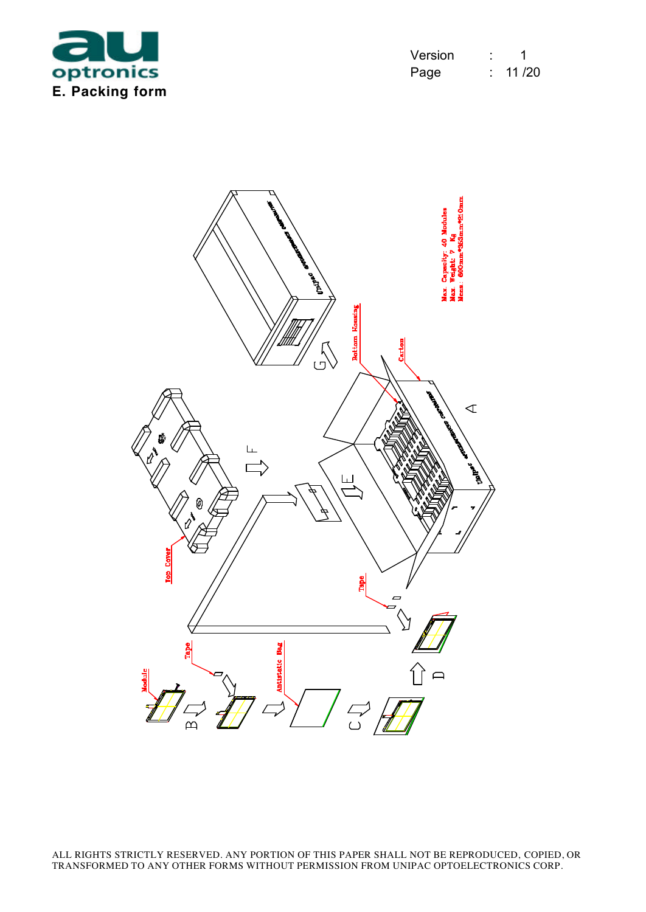![](_page_12_Picture_0.jpeg)

| Version | 1      |
|---------|--------|
| Page    | 11 /20 |

![](_page_12_Picture_2.jpeg)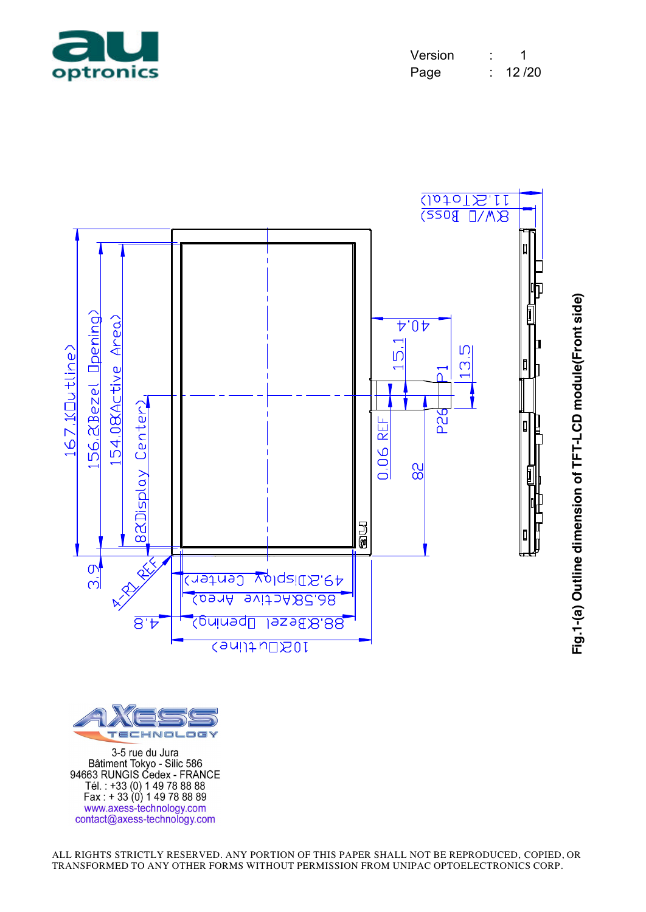![](_page_13_Picture_0.jpeg)

| Version |       |
|---------|-------|
| Page    | 12/20 |

![](_page_13_Figure_2.jpeg)

![](_page_13_Picture_3.jpeg)

3-5 rue du Jura Batiment Tokyo - Silic 586<br>94663 RUNGIS Cedex - FRANCE<br>Tél.: +33 (0) 1 49 78 88 88<br>Fax : + 33 (0) 1 49 78 88 89 www.axess-technology.com<br>contact@axess-technology.com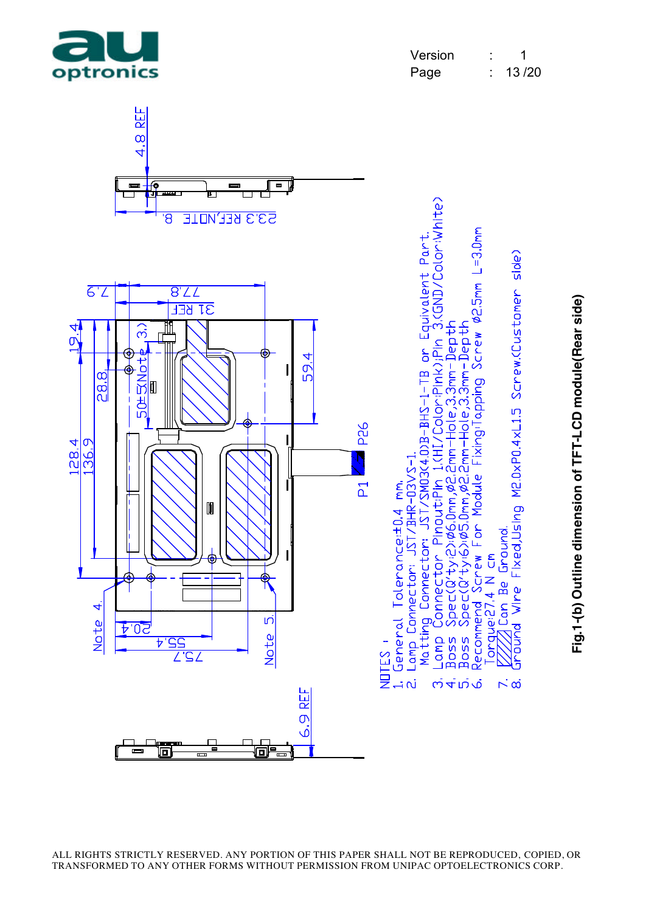REF Ō ة

al<del>''...</del>

نہ<br>نہ

<u>wer w</u>

![](_page_14_Figure_1.jpeg)

indund Wine Fixed,Using M2.0xP0.4xL1.5 Screw.(Customer side)

 $\overline{N}$   $\alpha$ 

![](_page_14_Figure_2.jpeg)

![](_page_14_Figure_3.jpeg)

![](_page_14_Picture_4.jpeg)

 $\equiv$ 

同

 $\blacksquare$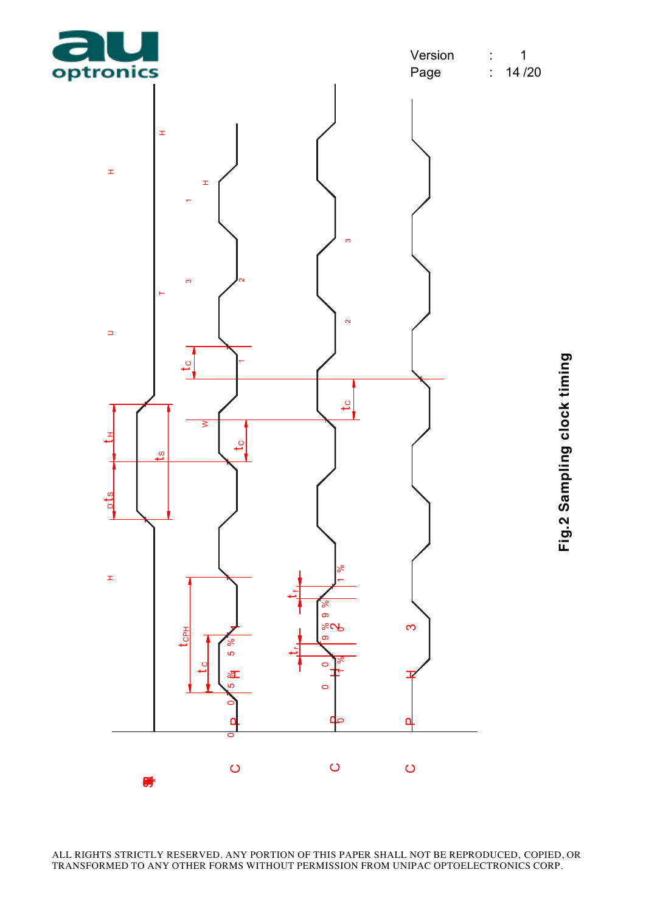![](_page_15_Figure_1.jpeg)

![](_page_15_Figure_2.jpeg)

 $\pm$ s street in the state of the state of the state of the state of the state of the state of the state of the state of the state of the state of the state of the state of the state of the state of the state of the state of th  $\pm$ SUH t t HDH  $\pm$ t CWH CHANNEL CHANNEL CHANNEL CHANNEL CHANNEL CHANNEL CHANNEL CHANNEL CHANNEL CHANNEL CHANNEL CHANNEL CHANNEL CHANNEL CHANNEL CHANNEL CHANNEL CHANNEL CHANNEL CHANNEL CHANNEL CHANNEL CHANNEL CHANNEL CHANNEL CHANNEL CHANNEL  $\begin{bmatrix} 1 & 0 & 0 \\ 0 & 1 & 0 \\ 0 & 0 & 0 \end{bmatrix}$  $\begin{array}{cccc} 2 & 2 \\ -2 & 3 \end{array}$  $\begin{array}{c|c|c|c|c} \hline \multicolumn{1}{c|c|}{\multicolumn{1}{c|c|}{\multicolumn{1}{c|c|}{\multicolumn{1}{c|c|}{\multicolumn{1}{c|c|}{\multicolumn{1}{c|c|}{\multicolumn{1}{c|c|}{\multicolumn{1}{c|c|}{\multicolumn{1}{c|c|}{\multicolumn{1}{c|c|}{\multicolumn{1}{c|c|}{\multicolumn{1}{c|c|}{\multicolumn{1}{c|c|}{\multicolumn{1}{c|c|}{\multicolumn{1}{c|c|}{\multicolumn{1}{c|c|}{\multicolumn{1}{c|c$  $\sim$  $\Rightarrow$  $\overline{c}$ I  $\overline{c}$  $\begin{bmatrix} 1 \\ 1 \\ 1 \\ 1 \end{bmatrix}$  $\sigma$ the contract of the contract of the contract of the contract of the contract of the contract of the contract of the contract of the contract of the contract of the contract of the contract of the contract of the contract o <sub>ots</sub>  $\rm{^e}$  $\pm$ )<br>20<br>11<br>11 C P H 2 C P H 3 C P P P P P P D P D  $\frac{1}{2}$  f<sub>1</sub>,  $\frac{1}{2}$  f<sub>1</sub>,  $\frac{1}{2}$  f<sub>1</sub>,  $\frac{1}{2}$  f<sub>1</sub>,  $\frac{1}{2}$  f<sub>1</sub>,  $\frac{1}{2}$  f<sub>1</sub>,  $\frac{1}{2}$  f<sub>1</sub>,  $\frac{1}{2}$  f<sub>1</sub>,  $\frac{1}{2}$  f<sub>1</sub>,  $\frac{1}{2}$  f<sub>1</sub>,  $\frac{1}{2}$  f<sub>1</sub>,  $\frac{1}{2}$  f<sub>1</sub>,  $\frac{1}{2}$  f<sub>1</sub>,  $\frac{1}{2}$  f<sub>1</sub>  $\rm{^e}$ 9 % 9 0 0  $84$ CPH 0<br>0<br>0 % $\begin{array}{cccc} \hline \text{ } & \text{ } & \text{ } & \text{ } \\ \text{ } & \text{ } & \text{ } & \text{ } & \text{ } \\ \text{ } & \text{ } & \text{ } & \text{ } & \text{ } & \text{ } \\ \text{ } & \text{ } & \text{ } & \text{ } & \text{ } & \text{ } \\ \text{ } & \text{ } & \text{ } & \text{ } & \text{ } & \text{ } & \text{ } \\ \end{array}$ 5 bM  $\rm{^e}$ ूषा 1<br>0<br>0 THE SPACE OF ANY CONTROL OF THIS PAPER SHALL NOT BE REPRODUCED, COPIED<br>TRANSFORMED TO ANY OTHER FORMS WITHOUT PERMISSION FROM UNIPAC OPTOELECTRONICS CORP. 爵

ALL RIGHTS STRICTLY RESERVED. ANY PORTION OF THIS PAPER SHALL NOT BE REPRODUCED, COPIED, OR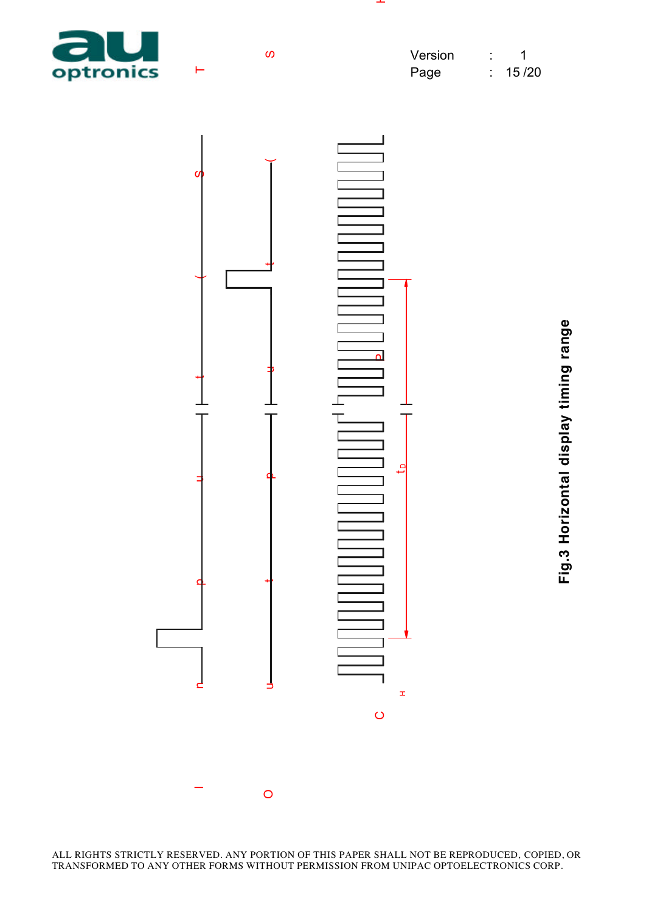![](_page_16_Picture_0.jpeg)

![](_page_16_Figure_1.jpeg)

**Fig.3 Horizontal display timing range**

ALL RIGHTS STRICTLY RESERVED. ANY PORTION OF THIS PAPER SHALL NOT BE REPRODUCED, COPIED, OR TRANSFORMED TO ANY OTHER FORMS WITHOUT PERMISSION FROM UNIPAC OPTOELECTRONICS CORP.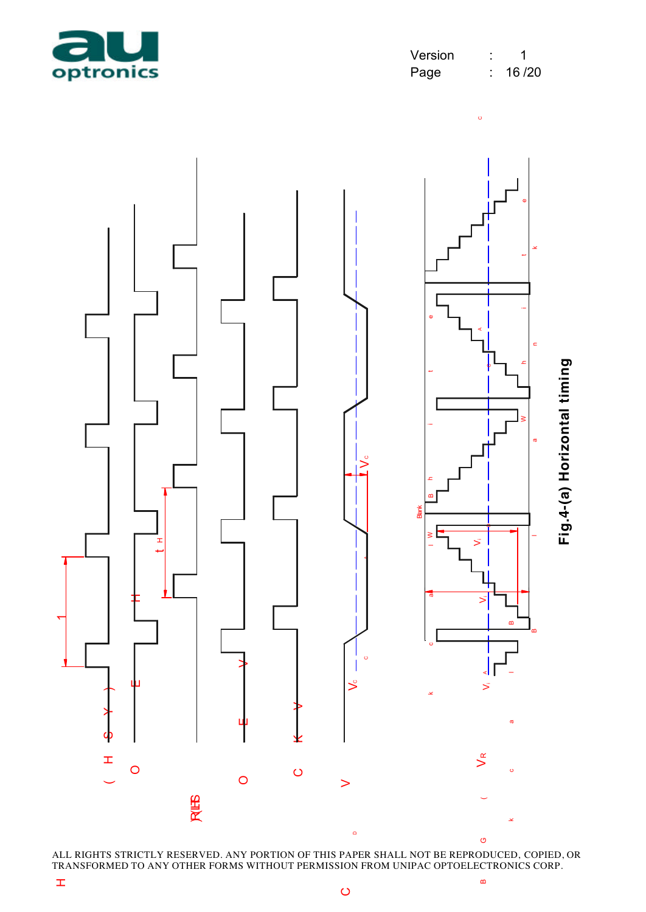![](_page_17_Picture_0.jpeg)

 $\circ$ 

![](_page_17_Figure_2.jpeg)

ALL RIGHTS STRICTLY RESERVED. ANY PORTION OF THIS PAPER SHALL NOT BE REPRODUCED, COPIED, OR TRANSFORMED TO ANY OTHER FORMS WITHOUT PERMISSION FROM UNIPAC OPTOELECTRONICS CORP.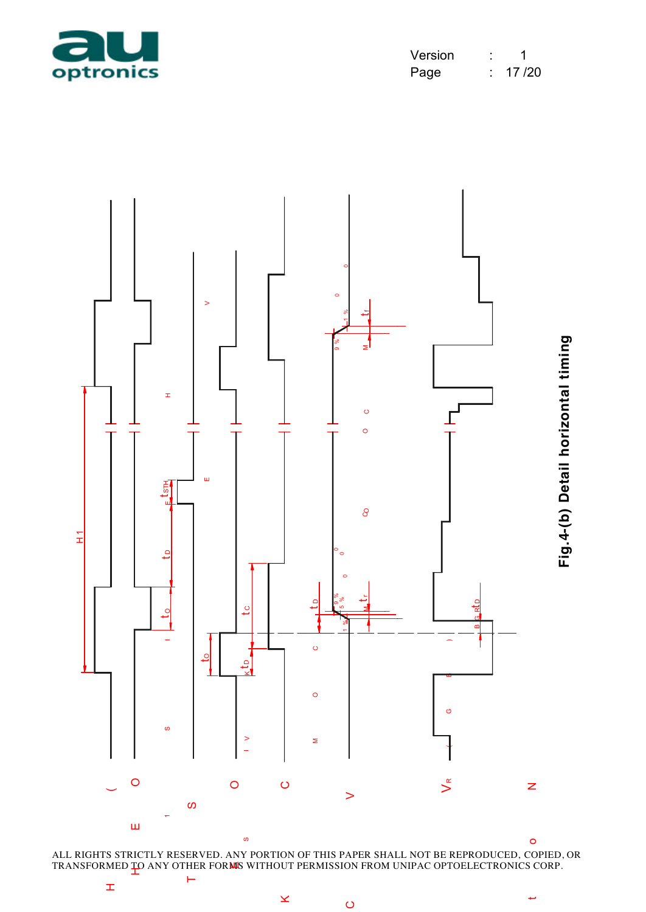![](_page_18_Picture_0.jpeg)

| Version |       |
|---------|-------|
| Page    | 17/20 |

![](_page_18_Figure_2.jpeg)

ALL RIGHTS STRICTLY RESERVED. ANY PORTION OF THIS PAPER SHALL NOT BE REPRODUCED, COPIED, OR

سە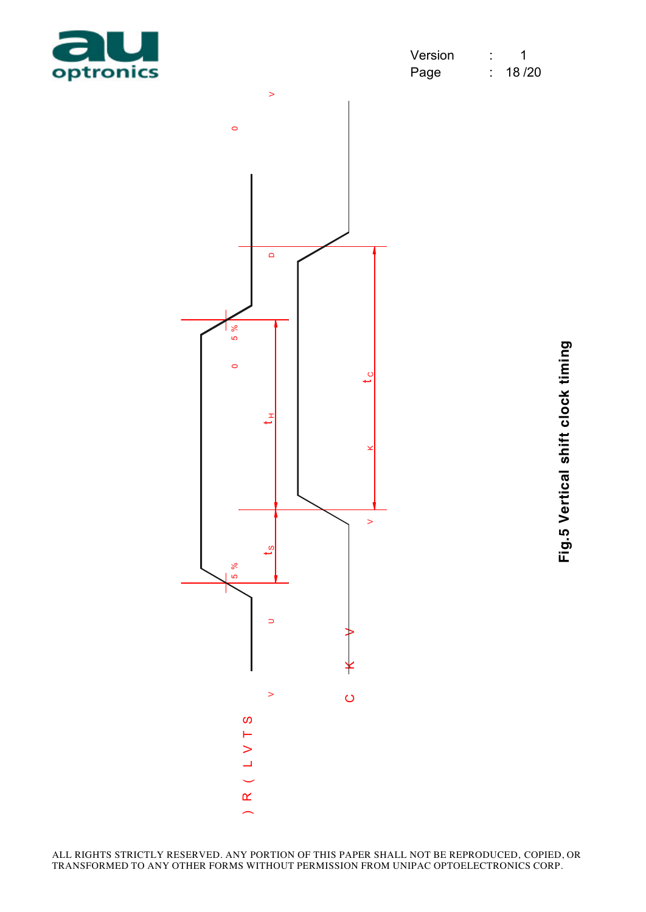![](_page_19_Picture_0.jpeg)

| Version |       |
|---------|-------|
| Page    | 18/20 |

![](_page_19_Figure_2.jpeg)

Fig.5 Vertical shift clock timing

ALL RIGHTS STRICTLY RESERVED. ANY PORTION OF THIS PAPER SHALL NOT BE REPRODUCED, COPIED, OR TRANSFORMED TO ANY OTHER FORMS WITHOUT PERMISSION FROM UNIPAC OPTOELECTRONICS CORP.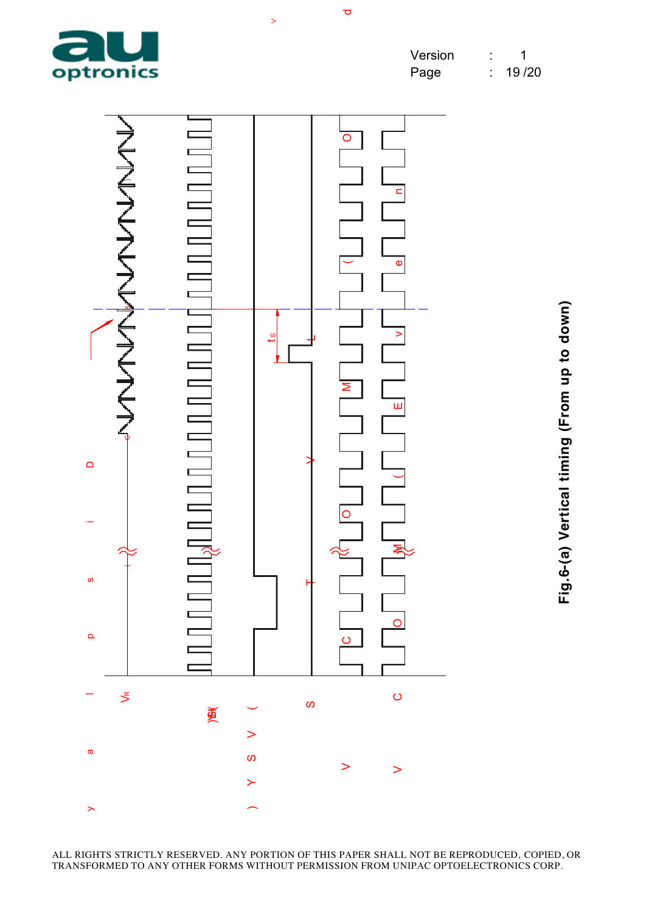![](_page_20_Picture_0.jpeg)

 $\overline{\mathbf{C}}$ 

 $\geq$ 

![](_page_20_Figure_2.jpeg)

Fig.6-(a) Vertical timing (From up to down) **Fig.6-(a) Vertical timing (From up to down)**